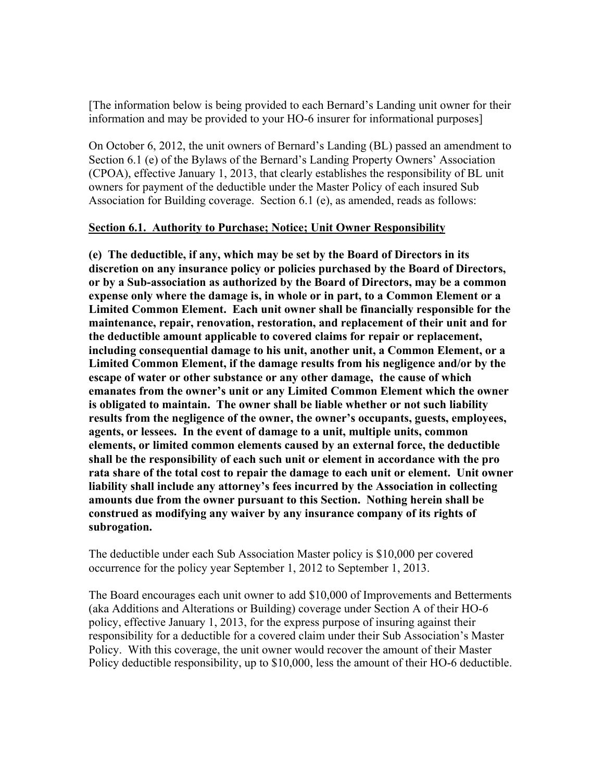[The information below is being provided to each Bernard's Landing unit owner for their information and may be provided to your HO-6 insurer for informational purposes]

On October 6, 2012, the unit owners of Bernard's Landing (BL) passed an amendment to Section 6.1 (e) of the Bylaws of the Bernard's Landing Property Owners' Association (CPOA), effective January 1, 2013, that clearly establishes the responsibility of BL unit owners for payment of the deductible under the Master Policy of each insured Sub Association for Building coverage. Section 6.1 (e), as amended, reads as follows:

## **Section 6.1. Authority to Purchase; Notice; Unit Owner Responsibility**

**(e) The deductible, if any, which may be set by the Board of Directors in its discretion on any insurance policy or policies purchased by the Board of Directors, or by a Sub-association as authorized by the Board of Directors, may be a common expense only where the damage is, in whole or in part, to a Common Element or a Limited Common Element. Each unit owner shall be financially responsible for the maintenance, repair, renovation, restoration, and replacement of their unit and for the deductible amount applicable to covered claims for repair or replacement, including consequential damage to his unit, another unit, a Common Element, or a Limited Common Element, if the damage results from his negligence and/or by the escape of water or other substance or any other damage, the cause of which emanates from the owner's unit or any Limited Common Element which the owner is obligated to maintain. The owner shall be liable whether or not such liability results from the negligence of the owner, the owner's occupants, guests, employees, agents, or lessees. In the event of damage to a unit, multiple units, common elements, or limited common elements caused by an external force, the deductible shall be the responsibility of each such unit or element in accordance with the pro rata share of the total cost to repair the damage to each unit or element. Unit owner liability shall include any attorney's fees incurred by the Association in collecting amounts due from the owner pursuant to this Section. Nothing herein shall be construed as modifying any waiver by any insurance company of its rights of subrogation.**

The deductible under each Sub Association Master policy is \$10,000 per covered occurrence for the policy year September 1, 2012 to September 1, 2013.

The Board encourages each unit owner to add \$10,000 of Improvements and Betterments (aka Additions and Alterations or Building) coverage under Section A of their HO-6 policy, effective January 1, 2013, for the express purpose of insuring against their responsibility for a deductible for a covered claim under their Sub Association's Master Policy. With this coverage, the unit owner would recover the amount of their Master Policy deductible responsibility, up to \$10,000, less the amount of their HO-6 deductible.